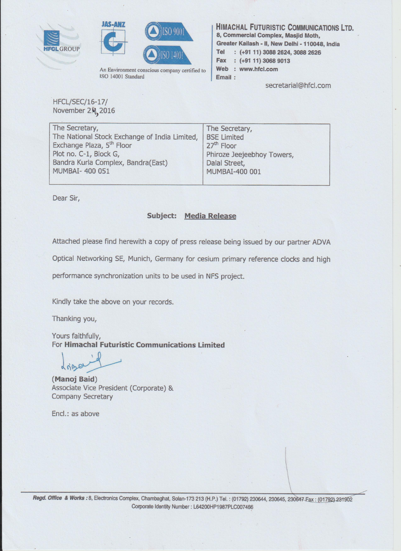





An Environment conscious company certified to ISO 14001 Standard

**HIMACHAL FUTURISTIC COMMUNICATIONS LTD.** 8, Commercial Complex, Masjid Moth, Greater Kailash - II, New Delhi - 110048, India  $:(+91 11) 3088 2624, 3088 2626$ Tel Fax : (+91 11) 3068 9013 Web : www.hfcl.com Email:

secretarial@hfcl.com

**HFCL/SEC/16-17/** November 2.4, 2016

| The Secretary,                                | The Secretary,             |
|-----------------------------------------------|----------------------------|
| The National Stock Exchange of India Limited, | <b>BSE Limited</b>         |
| Exchange Plaza, 5 <sup>th</sup> Floor         | 27 <sup>th</sup> Floor     |
| Plot no. C-1, Block G,                        | Phiroze Jeejeebhoy Towers, |
| Bandra Kurla Complex, Bandra(East)            | Dalal Street,              |
| <b>MUMBAI- 400 051</b>                        | MUMBAI-400 001             |
|                                               |                            |

Dear Sir,

## **Subject: Media Release**

Attached please find herewith a copy of press release being issued by our partner ADVA

Optical Networking SE, Munich, Germany for cesium primary reference clocks and high

performance synchronization units to be used in NFS project.

Kindly take the above on your records.

Thanking you,

Yours faithfully, For Himachal Futuristic Communications Limited

drine

(Manoj Baid) Associate Vice President (Corporate) & **Company Secretary** 

Encl.: as above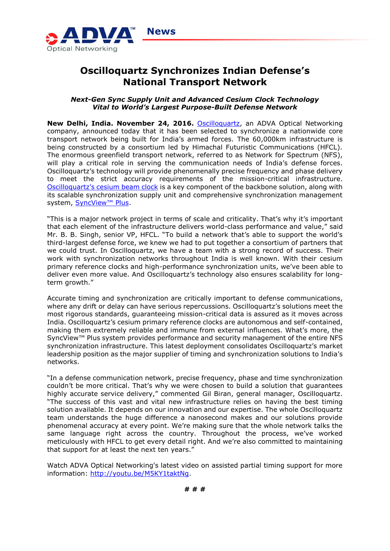

# **Oscilloquartz Synchronizes Indian Defense's National Transport Network**

### *Next-Gen Sync Supply Unit and Advanced Cesium Clock Technology Vital to World's Largest Purpose-Built Defense Network*

**New Delhi, India. November 24, 2016.** [Oscilloquartz,](http://www.oscilloquartz.com/) an ADVA Optical Networking company, announced today that it has been selected to synchronize a nationwide core transport network being built for India's armed forces. The 60,000km infrastructure is being constructed by a consortium led by Himachal Futuristic Communications (HFCL). The enormous greenfield transport network, referred to as Network for Spectrum (NFS), will play a critical role in serving the communication needs of India's defense forces. Oscilloquartz's technology will provide phenomenally precise frequency and phase delivery to meet the strict accuracy requirements of the mission-critical infrastructure. [Oscilloquartz's cesium beam clock](http://www.oscilloquartz.com/products-cesium-clock-64) is a key component of the backbone solution, along with its scalable synchronization supply unit and comprehensive synchronization management system, [SyncView™ Plus](http://www.oscilloquartz.com/product-syncview-plus-911-88).

"This is a major network project in terms of scale and criticality. That's why it's important that each element of the infrastructure delivers world-class performance and value," said Mr. B. B. Singh, senior VP, HFCL. "To build a network that's able to support the world's third-largest defense force, we knew we had to put together a consortium of partners that we could trust. In Oscilloquartz, we have a team with a strong record of success. Their work with synchronization networks throughout India is well known. With their cesium primary reference clocks and high-performance synchronization units, we've been able to deliver even more value. And Oscilloquartz's technology also ensures scalability for longterm growth."

Accurate timing and synchronization are critically important to defense communications, where any drift or delay can have serious repercussions. Oscilloquartz's solutions meet the most rigorous standards, guaranteeing mission-critical data is assured as it moves across India. Oscilloquartz's cesium primary reference clocks are autonomous and self-contained, making them extremely reliable and immune from external influences. What's more, the SyncView<sup>™</sup> Plus system provides performance and security management of the entire NFS synchronization infrastructure. This latest deployment consolidates Oscilloquartz's market leadership position as the major supplier of timing and synchronization solutions to India's networks.

"In a defense communication network, precise frequency, phase and time synchronization couldn't be more critical. That's why we were chosen to build a solution that guarantees highly accurate service delivery," commented Gil Biran, general manager, Oscilloquartz. "The success of this vast and vital new infrastructure relies on having the best timing solution available. It depends on our innovation and our expertise. The whole Oscilloquartz team understands the huge difference a nanosecond makes and our solutions provide phenomenal accuracy at every point. We're making sure that the whole network talks the same language right across the country. Throughout the process, we've worked meticulously with HFCL to get every detail right. And we're also committed to maintaining that support for at least the next ten years."

Watch ADVA Optical Networking's latest video on assisted partial timing support for more information: [http://youtu.be/M5KY1taktNg.](http://youtu.be/M5KY1taktNg)